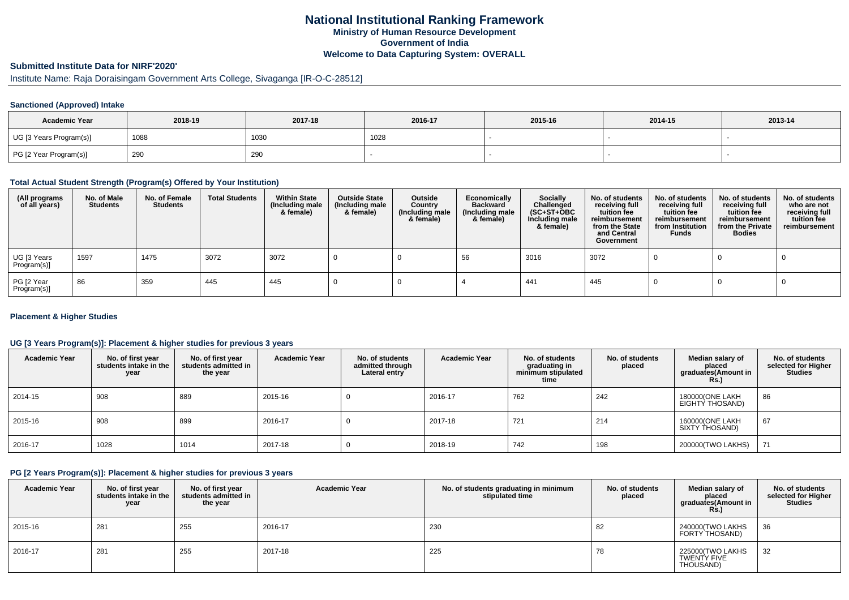## **National Institutional Ranking FrameworkMinistry of Human Resource DevelopmentGovernment of IndiaWelcome to Data Capturing System: OVERALL**

## **Submitted Institute Data for NIRF'2020'**

# Institute Name: Raja Doraisingam Government Arts College, Sivaganga [IR-O-C-28512]

### **Sanctioned (Approved) Intake**

| <b>Academic Year</b>    | 2018-19 | 2017-18 | 2016-17 | 2015-16 | 2014-15 | 2013-14 |
|-------------------------|---------|---------|---------|---------|---------|---------|
| UG [3 Years Program(s)] | 1088    | 1030    | 1028    |         |         |         |
| PG [2 Year Program(s)]  | 290     | 290     |         |         |         |         |

#### **Total Actual Student Strength (Program(s) Offered by Your Institution)**

| (All programs<br>of all years) | No. of Male<br><b>Students</b> | No. of Female<br><b>Students</b> | <b>Total Students</b> | <b>Within State</b><br>(Including male<br>& female) | <b>Outside State</b><br>(Including male<br>& female) | Outside<br>Country<br>(Including male<br>& female) | Economically<br><b>Backward</b><br>(Including male<br>& female) | <b>Socially</b><br>Challenged<br>$(SC+ST+OBC)$<br>Including male<br>& female) | No. of students<br>receiving full<br>tuition fee<br>reimbursement<br>from the State<br>and Central<br>Government | No. of students<br>receiving full<br>tuition fee<br>reimbursement<br>from Institution<br><b>Funds</b> | No. of students<br>receiving full<br>tuition fee<br>reimbursement<br>from the Private<br><b>Bodies</b> | No. of students<br>who are not<br>receiving full<br>tuition fee<br>reimbursement |
|--------------------------------|--------------------------------|----------------------------------|-----------------------|-----------------------------------------------------|------------------------------------------------------|----------------------------------------------------|-----------------------------------------------------------------|-------------------------------------------------------------------------------|------------------------------------------------------------------------------------------------------------------|-------------------------------------------------------------------------------------------------------|--------------------------------------------------------------------------------------------------------|----------------------------------------------------------------------------------|
| UG [3 Years<br>Program(s)]     | 1597                           | 1475                             | 3072                  | 3072                                                |                                                      |                                                    | 56                                                              | 3016                                                                          | 3072                                                                                                             |                                                                                                       |                                                                                                        |                                                                                  |
| PG [2 Year<br>Program(s)]      | 86                             | 359                              | 445                   | 445                                                 |                                                      |                                                    |                                                                 | 441                                                                           | 445                                                                                                              |                                                                                                       |                                                                                                        |                                                                                  |

### **Placement & Higher Studies**

### **UG [3 Years Program(s)]: Placement & higher studies for previous 3 years**

| <b>Academic Year</b> | No. of first year<br>students intake in the<br>year | No. of first vear<br>students admitted in<br>the year | <b>Academic Year</b> | No. of students<br>admitted through<br>Lateral entry | <b>Academic Year</b> | No. of students<br>graduating in<br>minimum stipulated<br>time | No. of students<br>placed | Median salary of<br>placed<br>graduates(Amount in<br>Rs. | No. of students<br>selected for Higher<br><b>Studies</b> |
|----------------------|-----------------------------------------------------|-------------------------------------------------------|----------------------|------------------------------------------------------|----------------------|----------------------------------------------------------------|---------------------------|----------------------------------------------------------|----------------------------------------------------------|
| 2014-15              | 908                                                 | 889                                                   | 2015-16              | υ                                                    | 2016-17              | 762                                                            | 242                       | 180000(ONE LAKH<br>EIGHTY THOSAND)                       | 86                                                       |
| 2015-16              | 908                                                 | 899                                                   | 2016-17              |                                                      | 2017-18              | 721                                                            | 214                       | 160000(ONE LAKH<br>SIXTY THOSAND)                        | 67                                                       |
| 2016-17              | 1028                                                | 1014                                                  | 2017-18              |                                                      | 2018-19              | 742                                                            | 198                       | 200000(TWO LAKHS)                                        | 71                                                       |

### **PG [2 Years Program(s)]: Placement & higher studies for previous 3 years**

| <b>Academic Year</b> | No. of first year<br>students intake in the<br>year | No. of first vear<br>students admitted in<br>the year | <b>Academic Year</b> | No. of students graduating in minimum<br>stipulated time | No. of students<br>placed | Median salary of<br>placed<br>graduates(Amount in<br>Rs. | No. of students<br>selected for Higher<br>Studies |
|----------------------|-----------------------------------------------------|-------------------------------------------------------|----------------------|----------------------------------------------------------|---------------------------|----------------------------------------------------------|---------------------------------------------------|
| 2015-16              | 281                                                 | 255                                                   | 2016-17              | 230                                                      | 82                        | 240000(TWO LAKHS<br>FORTY THOSAND)                       | 36                                                |
| 2016-17              | 281                                                 | 255                                                   | 2017-18              | 225                                                      | 78                        | 225000(TWO LAKHS<br>TWENTY FIVE<br>THOUSAND)             | 32                                                |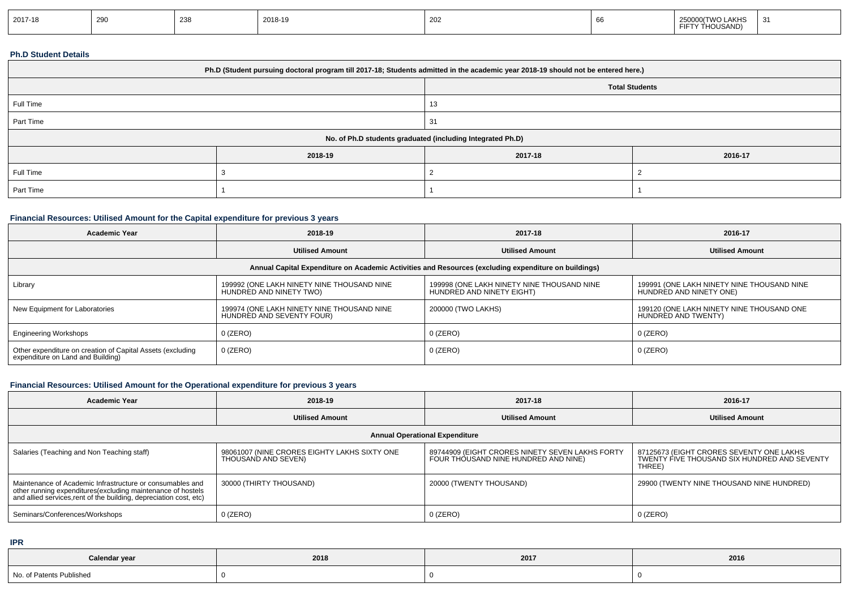| 2017-18 | $\sim$<br>∠⊌เ | つつら<br><u>_ .</u> | 2018-19 | 202 |  | <b>LAKHS</b><br><b>TIAIO</b><br>HOUSAND)<br>- 11 |  |
|---------|---------------|-------------------|---------|-----|--|--------------------------------------------------|--|
|---------|---------------|-------------------|---------|-----|--|--------------------------------------------------|--|

### **Ph.D Student Details**

|           | Ph.D (Student pursuing doctoral program till 2017-18; Students admitted in the academic year 2018-19 should not be entered here.) |                                                            |                       |  |  |  |
|-----------|-----------------------------------------------------------------------------------------------------------------------------------|------------------------------------------------------------|-----------------------|--|--|--|
|           |                                                                                                                                   |                                                            | <b>Total Students</b> |  |  |  |
| Full Time |                                                                                                                                   | 13                                                         |                       |  |  |  |
| Part Time |                                                                                                                                   | 31                                                         |                       |  |  |  |
|           |                                                                                                                                   | No. of Ph.D students graduated (including Integrated Ph.D) |                       |  |  |  |
|           | 2018-19                                                                                                                           | 2017-18                                                    | 2016-17               |  |  |  |
| Full Time |                                                                                                                                   |                                                            |                       |  |  |  |
| Part Time |                                                                                                                                   |                                                            |                       |  |  |  |

## **Financial Resources: Utilised Amount for the Capital expenditure for previous 3 years**

| <b>Academic Year</b>                                                                            | 2018-19                                                                 | 2017-18                                                                                              | 2016-17                                                               |
|-------------------------------------------------------------------------------------------------|-------------------------------------------------------------------------|------------------------------------------------------------------------------------------------------|-----------------------------------------------------------------------|
|                                                                                                 | <b>Utilised Amount</b>                                                  | <b>Utilised Amount</b>                                                                               | <b>Utilised Amount</b>                                                |
|                                                                                                 |                                                                         | Annual Capital Expenditure on Academic Activities and Resources (excluding expenditure on buildings) |                                                                       |
| Library                                                                                         | 199992 (ONE LAKH NINETY NINE THOUSAND NINE<br>HUNDRED AND NINETY TWO)   | 199998 (ONE LAKH NINETY NINE THOUSAND NINE<br>HUNDRED AND NINETY EIGHT)                              | 199991 (ONE LAKH NINETY NINE THOUSAND NINE<br>HUNDRED AND NINETY ONE) |
| New Equipment for Laboratories                                                                  | 199974 (ONE LAKH NINETY NINE THOUSAND NINE<br>HUNDRED AND SEVENTY FOUR) | 200000 (TWO LAKHS)                                                                                   | 199120 (ONE LAKH NINETY NINE THOUSAND ONE<br>HUNDRED AND TWENTY)      |
| <b>Engineering Workshops</b>                                                                    | $0$ (ZERO)                                                              | $0$ (ZERO)                                                                                           | 0 (ZERO)                                                              |
| Other expenditure on creation of Capital Assets (excluding<br>expenditure on Land and Building) | $0$ (ZERO)                                                              | $0$ (ZERO)                                                                                           | $0$ (ZERO)                                                            |

## **Financial Resources: Utilised Amount for the Operational expenditure for previous 3 years**

| <b>Academic Year</b>                                                                                                                                                                            | 2018-19                                                             | 2017-18                                                                                 | 2016-17                                                                                            |
|-------------------------------------------------------------------------------------------------------------------------------------------------------------------------------------------------|---------------------------------------------------------------------|-----------------------------------------------------------------------------------------|----------------------------------------------------------------------------------------------------|
|                                                                                                                                                                                                 | <b>Utilised Amount</b>                                              | <b>Utilised Amount</b>                                                                  | <b>Utilised Amount</b>                                                                             |
|                                                                                                                                                                                                 |                                                                     | <b>Annual Operational Expenditure</b>                                                   |                                                                                                    |
| Salaries (Teaching and Non Teaching staff)                                                                                                                                                      | 98061007 (NINE CRORES EIGHTY LAKHS SIXTY ONE<br>THOUSAND AND SEVEN) | 89744909 (EIGHT CRORES NINETY SEVEN LAKHS FORTY<br>FOUR THOUSAND NINE HUNDRED AND NINE) | 87125673 (EIGHT CRORES SEVENTY ONE LAKHS<br>TWENTY FIVE THOUSAND SIX HUNDRED AND SEVENTY<br>THREE) |
| Maintenance of Academic Infrastructure or consumables and<br>other running expenditures (excluding maintenance of hostels<br>and allied services, rent of the building, depreciation cost, etc) | 30000 (THIRTY THOUSAND)                                             | 20000 (TWENTY THOUSAND)                                                                 | 29900 (TWENTY NINE THOUSAND NINE HUNDRED)                                                          |
| Seminars/Conferences/Workshops                                                                                                                                                                  | $0$ (ZERO)                                                          | $0$ (ZERO)                                                                              | 0 (ZERO)                                                                                           |

**IPR**

| Calendar year            | 2018 | 2017 | 2016 |
|--------------------------|------|------|------|
| No. of Patents Published |      |      |      |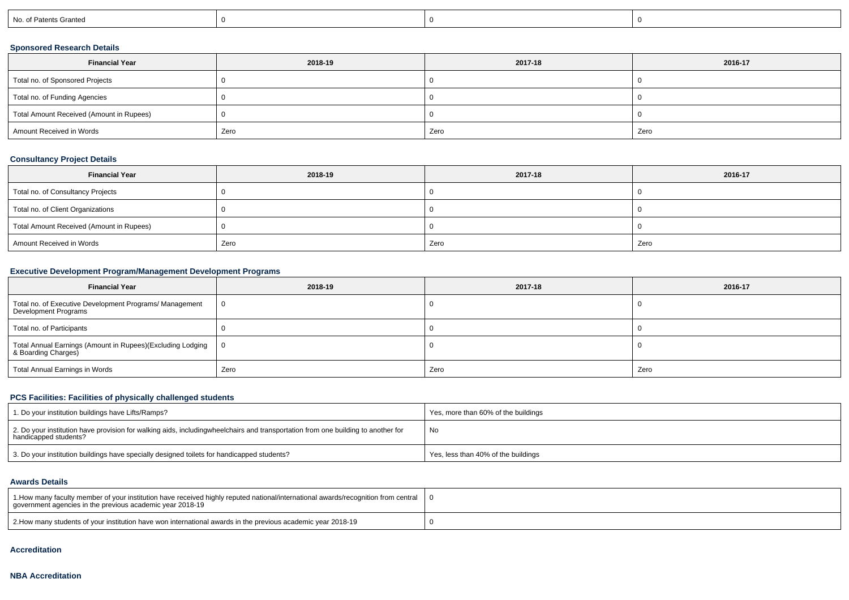|  |  | No. of Patents Granted |  |  |  |
|--|--|------------------------|--|--|--|
|--|--|------------------------|--|--|--|

## **Sponsored Research Details**

| <b>Financial Year</b>                    | 2018-19 | 2017-18 | 2016-17 |
|------------------------------------------|---------|---------|---------|
| Total no. of Sponsored Projects          |         |         |         |
| Total no. of Funding Agencies            |         |         |         |
| Total Amount Received (Amount in Rupees) |         |         |         |
| Amount Received in Words                 | Zero    | Zero    | Zero    |

## **Consultancy Project Details**

| <b>Financial Year</b>                    | 2018-19 | 2017-18 | 2016-17 |
|------------------------------------------|---------|---------|---------|
| Total no. of Consultancy Projects        |         |         |         |
| Total no. of Client Organizations        |         |         |         |
| Total Amount Received (Amount in Rupees) |         |         |         |
| Amount Received in Words                 | Zero    | Zero    | Zero    |

## **Executive Development Program/Management Development Programs**

| <b>Financial Year</b>                                                             | 2018-19        | 2017-18 | 2016-17 |
|-----------------------------------------------------------------------------------|----------------|---------|---------|
| Total no. of Executive Development Programs/ Management<br>Development Programs   | $\overline{0}$ |         |         |
| Total no. of Participants                                                         |                |         |         |
| Total Annual Earnings (Amount in Rupees)(Excluding Lodging<br>& Boarding Charges) | ΙO             |         |         |
| Total Annual Earnings in Words                                                    | Zero           | Zero    | Zero    |

## **PCS Facilities: Facilities of physically challenged students**

| 1. Do your institution buildings have Lifts/Ramps?                                                                                                        | Yes, more than 60% of the buildings |
|-----------------------------------------------------------------------------------------------------------------------------------------------------------|-------------------------------------|
| 2. Do your institution have provision for walking aids, includingwheelchairs and transportation from one building to another for<br>handicapped students? | ' No                                |
| 3. Do your institution buildings have specially designed toilets for handicapped students?                                                                | Yes, less than 40% of the buildings |

#### **Awards Details**

| 1. How many faculty member of your institution have received highly reputed national/international awards/recognition from central<br>government agencies in the previous academic year 2018-19 |  |
|-------------------------------------------------------------------------------------------------------------------------------------------------------------------------------------------------|--|
| 2. Alow many students of your institution have won international awards in the previous academic year 2018-19                                                                                   |  |

#### **Accreditation**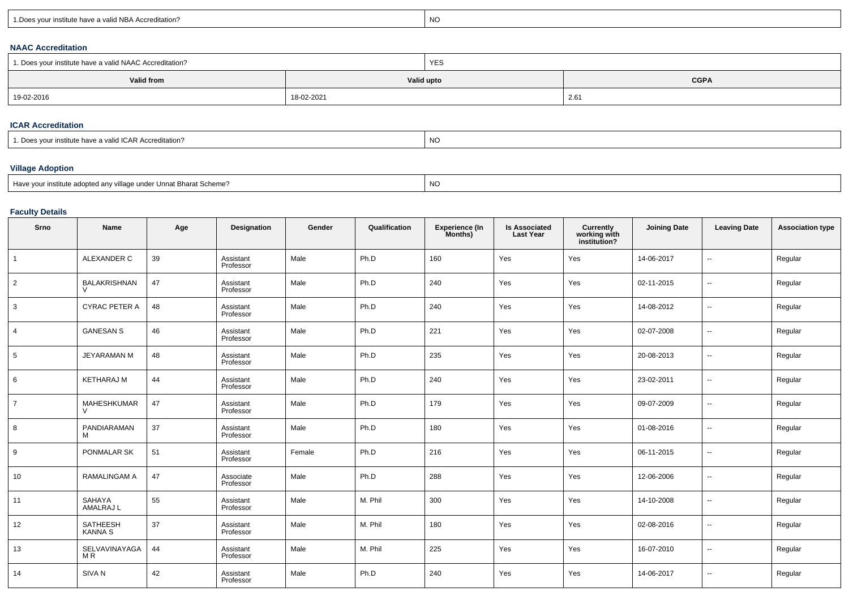| $\overline{M}$<br>r institute have a valid NBA Accreditation?<br>שע |  |
|---------------------------------------------------------------------|--|
|---------------------------------------------------------------------|--|

### **NAAC Accreditation**

| 1. Does your institute have a valid NAAC Accreditation? |            | YES        |             |  |  |
|---------------------------------------------------------|------------|------------|-------------|--|--|
| Valid from                                              |            | Valid upto | <b>CGPA</b> |  |  |
| 19-02-2016                                              | 18-02-2021 |            | 2.61        |  |  |

#### **ICAR Accreditation**

| a valid ICAR Accreditation?<br>istitute nave a | .<br>.NG |
|------------------------------------------------|----------|
|                                                |          |

# **Village Adoption**

| Have your institute adopted any<br>v village under Unnat Bharat Scheme? | NO |
|-------------------------------------------------------------------------|----|
|                                                                         |    |

## **Faculty Details**

| Srno            | <b>Name</b>                | Age | Designation            | Gender | Qualification | Experience (In<br>Months) | <b>Is Associated</b><br><b>Last Year</b> | Currently<br>working with<br>institution? | <b>Joining Date</b> | <b>Leaving Date</b>      | <b>Association type</b> |
|-----------------|----------------------------|-----|------------------------|--------|---------------|---------------------------|------------------------------------------|-------------------------------------------|---------------------|--------------------------|-------------------------|
| $\mathbf{1}$    | ALEXANDER C                | 39  | Assistant<br>Professor | Male   | Ph.D          | 160                       | Yes                                      | Yes                                       | 14-06-2017          | ÷.                       | Regular                 |
| $\overline{2}$  | <b>BALAKRISHNAN</b>        | 47  | Assistant<br>Professor | Male   | Ph.D          | 240                       | Yes                                      | Yes                                       | 02-11-2015          | --                       | Regular                 |
| 3               | <b>CYRAC PETER A</b>       | 48  | Assistant<br>Professor | Male   | Ph.D          | 240                       | Yes                                      | Yes                                       | 14-08-2012          | --                       | Regular                 |
| $\overline{4}$  | <b>GANESAN S</b>           | 46  | Assistant<br>Professor | Male   | Ph.D          | 221                       | Yes                                      | Yes                                       | 02-07-2008          | $\overline{\phantom{a}}$ | Regular                 |
| $5\phantom{.0}$ | <b>JEYARAMAN M</b>         | 48  | Assistant<br>Professor | Male   | Ph.D          | 235                       | Yes                                      | Yes                                       | 20-08-2013          | $\overline{\phantom{a}}$ | Regular                 |
| 6               | <b>KETHARAJ M</b>          | 44  | Assistant<br>Professor | Male   | Ph.D          | 240                       | Yes                                      | Yes                                       | 23-02-2011          | $\overline{\phantom{a}}$ | Regular                 |
| $\overline{7}$  | <b>MAHESHKUMAR</b>         | 47  | Assistant<br>Professor | Male   | Ph.D          | 179                       | Yes                                      | Yes                                       | 09-07-2009          | $\overline{\phantom{a}}$ | Regular                 |
| 8               | PANDIARAMAN<br>M           | 37  | Assistant<br>Professor | Male   | Ph.D          | 180                       | Yes                                      | Yes                                       | 01-08-2016          | $\overline{\phantom{a}}$ | Regular                 |
| 9               | PONMALAR SK                | 51  | Assistant<br>Professor | Female | Ph.D          | 216                       | Yes                                      | Yes                                       | 06-11-2015          | --                       | Regular                 |
| 10              | RAMALINGAM A               | 47  | Associate<br>Professor | Male   | Ph.D          | 288                       | Yes                                      | Yes                                       | 12-06-2006          | $\overline{\phantom{a}}$ | Regular                 |
| 11              | SAHAYA<br>AMALRAJ L        | 55  | Assistant<br>Professor | Male   | M. Phil       | 300                       | Yes                                      | Yes                                       | 14-10-2008          | $\overline{\phantom{a}}$ | Regular                 |
| 12              | SATHEESH<br><b>KANNA S</b> | 37  | Assistant<br>Professor | Male   | M. Phil       | 180                       | Yes                                      | Yes                                       | 02-08-2016          | $\overline{\phantom{a}}$ | Regular                 |
| 13              | SELVAVINAYAGA<br>M R       | 44  | Assistant<br>Professor | Male   | M. Phil       | 225                       | Yes                                      | Yes                                       | 16-07-2010          | --                       | Regular                 |
| 14              | SIVA <sub>N</sub>          | 42  | Assistant<br>Professor | Male   | Ph.D          | 240                       | Yes                                      | Yes                                       | 14-06-2017          | --                       | Regular                 |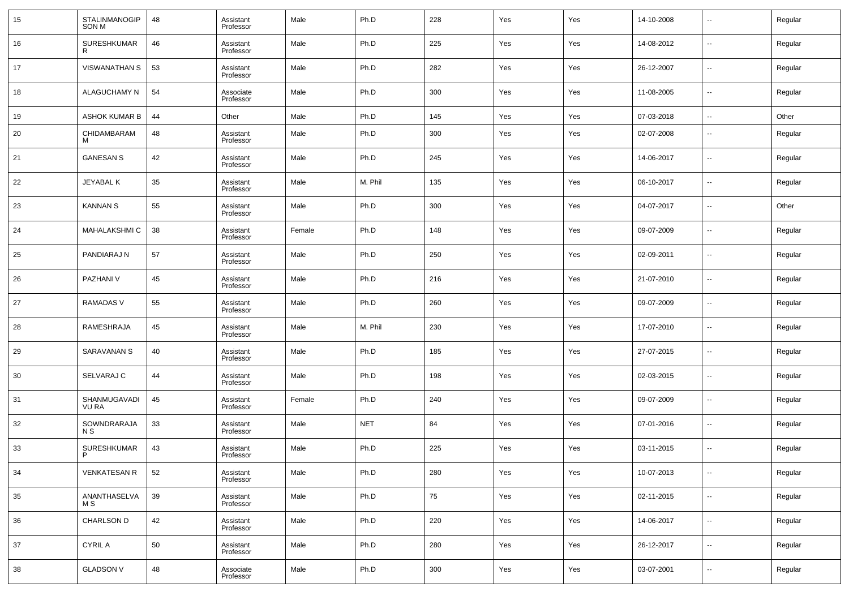| 15 | STALINMANOGIP<br>SON M  | 48 | Assistant<br>Professor | Male   | Ph.D       | 228 | Yes | Yes | 14-10-2008 | $\overline{\phantom{a}}$ | Regular |
|----|-------------------------|----|------------------------|--------|------------|-----|-----|-----|------------|--------------------------|---------|
| 16 | SURESHKUMAR<br>R        | 46 | Assistant<br>Professor | Male   | Ph.D       | 225 | Yes | Yes | 14-08-2012 | $\overline{\phantom{a}}$ | Regular |
| 17 | <b>VISWANATHAN S</b>    | 53 | Assistant<br>Professor | Male   | Ph.D       | 282 | Yes | Yes | 26-12-2007 | $\overline{\phantom{a}}$ | Regular |
| 18 | ALAGUCHAMY N            | 54 | Associate<br>Professor | Male   | Ph.D       | 300 | Yes | Yes | 11-08-2005 | $\overline{\phantom{a}}$ | Regular |
| 19 | ASHOK KUMAR B           | 44 | Other                  | Male   | Ph.D       | 145 | Yes | Yes | 07-03-2018 | $\overline{\phantom{a}}$ | Other   |
| 20 | CHIDAMBARAM<br>м        | 48 | Assistant<br>Professor | Male   | Ph.D       | 300 | Yes | Yes | 02-07-2008 | $\overline{\phantom{a}}$ | Regular |
| 21 | <b>GANESAN S</b>        | 42 | Assistant<br>Professor | Male   | Ph.D       | 245 | Yes | Yes | 14-06-2017 | $\sim$                   | Regular |
| 22 | JEYABAL K               | 35 | Assistant<br>Professor | Male   | M. Phil    | 135 | Yes | Yes | 06-10-2017 | $\overline{\phantom{a}}$ | Regular |
| 23 | <b>KANNAN S</b>         | 55 | Assistant<br>Professor | Male   | Ph.D       | 300 | Yes | Yes | 04-07-2017 | $\overline{\phantom{a}}$ | Other   |
| 24 | MAHALAKSHMI C           | 38 | Assistant<br>Professor | Female | Ph.D       | 148 | Yes | Yes | 09-07-2009 | $\sim$                   | Regular |
| 25 | PANDIARAJ N             | 57 | Assistant<br>Professor | Male   | Ph.D       | 250 | Yes | Yes | 02-09-2011 | $\overline{\phantom{a}}$ | Regular |
| 26 | PAZHANI V               | 45 | Assistant<br>Professor | Male   | Ph.D       | 216 | Yes | Yes | 21-07-2010 | $\sim$                   | Regular |
| 27 | RAMADAS V               | 55 | Assistant<br>Professor | Male   | Ph.D       | 260 | Yes | Yes | 09-07-2009 | $\overline{\phantom{a}}$ | Regular |
| 28 | RAMESHRAJA              | 45 | Assistant<br>Professor | Male   | M. Phil    | 230 | Yes | Yes | 17-07-2010 | $\sim$                   | Regular |
| 29 | SARAVANAN S             | 40 | Assistant<br>Professor | Male   | Ph.D       | 185 | Yes | Yes | 27-07-2015 | $\sim$                   | Regular |
| 30 | SELVARAJ C              | 44 | Assistant<br>Professor | Male   | Ph.D       | 198 | Yes | Yes | 02-03-2015 | $\sim$                   | Regular |
| 31 | SHANMUGAVADI<br>VU RA   | 45 | Assistant<br>Professor | Female | Ph.D       | 240 | Yes | Yes | 09-07-2009 | $\sim$                   | Regular |
| 32 | SOWNDRARAJA<br>N S      | 33 | Assistant<br>Professor | Male   | <b>NET</b> | 84  | Yes | Yes | 07-01-2016 | $\sim$                   | Regular |
| 33 | <b>SURESHKUMAR</b><br>P | 43 | Assistant<br>Professor | Male   | Ph.D       | 225 | Yes | Yes | 03-11-2015 | $\sim$                   | Regular |
| 34 | <b>VENKATESAN R</b>     | 52 | Assistant<br>Professor | Male   | Ph.D       | 280 | Yes | Yes | 10-07-2013 | $\sim$                   | Regular |
| 35 | ANANTHASELVA<br>M S     | 39 | Assistant<br>Professor | Male   | Ph.D       | 75  | Yes | Yes | 02-11-2015 | $\overline{\phantom{a}}$ | Regular |
| 36 | CHARLSON D              | 42 | Assistant<br>Professor | Male   | Ph.D       | 220 | Yes | Yes | 14-06-2017 | $\overline{\phantom{a}}$ | Regular |
| 37 | <b>CYRIL A</b>          | 50 | Assistant<br>Professor | Male   | Ph.D       | 280 | Yes | Yes | 26-12-2017 | $\overline{\phantom{a}}$ | Regular |
| 38 | <b>GLADSON V</b>        | 48 | Associate<br>Professor | Male   | Ph.D       | 300 | Yes | Yes | 03-07-2001 | $\overline{\phantom{a}}$ | Regular |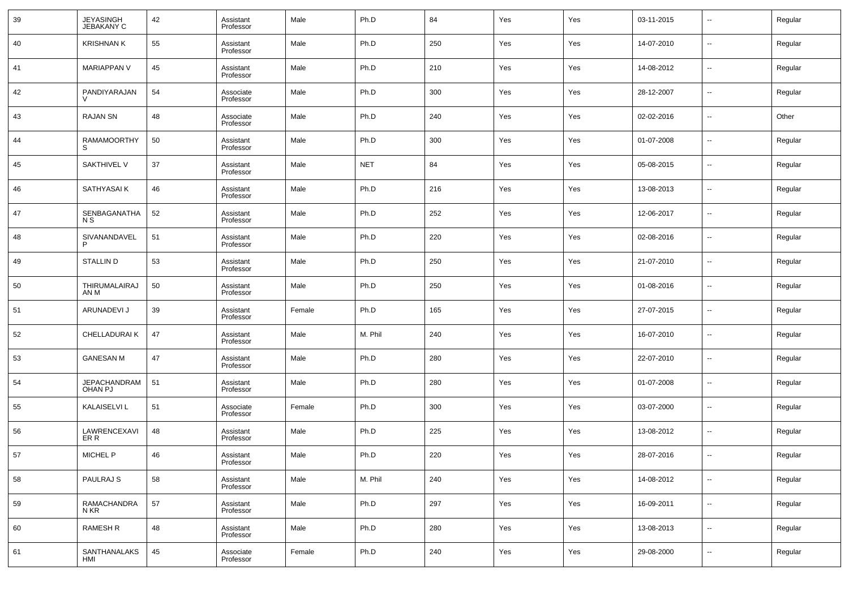| 39 | JEYASINGH<br>JEBAKANY C               | 42 | Assistant<br>Professor | Male   | Ph.D       | 84  | Yes | Yes | 03-11-2015 | --     | Regular |
|----|---------------------------------------|----|------------------------|--------|------------|-----|-----|-----|------------|--------|---------|
| 40 | <b>KRISHNAN K</b>                     | 55 | Assistant<br>Professor | Male   | Ph.D       | 250 | Yes | Yes | 14-07-2010 | --     | Regular |
| 41 | <b>MARIAPPAN V</b>                    | 45 | Assistant<br>Professor | Male   | Ph.D       | 210 | Yes | Yes | 14-08-2012 | --     | Regular |
| 42 | PANDIYARAJAN                          | 54 | Associate<br>Professor | Male   | Ph.D       | 300 | Yes | Yes | 28-12-2007 | --     | Regular |
| 43 | <b>RAJAN SN</b>                       | 48 | Associate<br>Professor | Male   | Ph.D       | 240 | Yes | Yes | 02-02-2016 | $\sim$ | Other   |
| 44 | <b>RAMAMOORTHY</b><br>S               | 50 | Assistant<br>Professor | Male   | Ph.D       | 300 | Yes | Yes | 01-07-2008 | $\sim$ | Regular |
| 45 | SAKTHIVEL V                           | 37 | Assistant<br>Professor | Male   | <b>NET</b> | 84  | Yes | Yes | 05-08-2015 | --     | Regular |
| 46 | SATHYASAI K                           | 46 | Assistant<br>Professor | Male   | Ph.D       | 216 | Yes | Yes | 13-08-2013 | --     | Regular |
| 47 | SENBAGANATHA<br>N S                   | 52 | Assistant<br>Professor | Male   | Ph.D       | 252 | Yes | Yes | 12-06-2017 | --     | Regular |
| 48 | SIVANANDAVEL                          | 51 | Assistant<br>Professor | Male   | Ph.D       | 220 | Yes | Yes | 02-08-2016 | --     | Regular |
| 49 | <b>STALLIND</b>                       | 53 | Assistant<br>Professor | Male   | Ph.D       | 250 | Yes | Yes | 21-07-2010 | --     | Regular |
| 50 | THIRUMALAIRAJ<br>AN M                 | 50 | Assistant<br>Professor | Male   | Ph.D       | 250 | Yes | Yes | 01-08-2016 | --     | Regular |
| 51 | ARUNADEVI J                           | 39 | Assistant<br>Professor | Female | Ph.D       | 165 | Yes | Yes | 27-07-2015 | --     | Regular |
| 52 | CHELLADURAI K                         | 47 | Assistant<br>Professor | Male   | M. Phil    | 240 | Yes | Yes | 16-07-2010 | --     | Regular |
| 53 | <b>GANESAN M</b>                      | 47 | Assistant<br>Professor | Male   | Ph.D       | 280 | Yes | Yes | 22-07-2010 | --     | Regular |
| 54 | <b>JEPACHANDRAM</b><br><b>OHAN PJ</b> | 51 | Assistant<br>Professor | Male   | Ph.D       | 280 | Yes | Yes | 01-07-2008 | --     | Regular |
| 55 | <b>KALAISELVI L</b>                   | 51 | Associate<br>Professor | Female | Ph.D       | 300 | Yes | Yes | 03-07-2000 | --     | Regular |
| 56 | LAWRENCEXAVI<br>ER R                  | 48 | Assistant<br>Professor | Male   | Ph.D       | 225 | Yes | Yes | 13-08-2012 | --     | Regular |
| 57 | <b>MICHEL P</b>                       | 46 | Assistant<br>Professor | Male   | Ph.D       | 220 | Yes | Yes | 28-07-2016 | ۰.     | Regular |
| 58 | PAULRAJ S                             | 58 | Assistant<br>Professor | Male   | M. Phil    | 240 | Yes | Yes | 14-08-2012 | $\sim$ | Regular |
| 59 | RAMACHANDRA<br>N KR                   | 57 | Assistant<br>Professor | Male   | Ph.D       | 297 | Yes | Yes | 16-09-2011 | $\sim$ | Regular |
| 60 | <b>RAMESH R</b>                       | 48 | Assistant<br>Professor | Male   | Ph.D       | 280 | Yes | Yes | 13-08-2013 | $\sim$ | Regular |
| 61 | SANTHANALAKS<br>HMI                   | 45 | Associate<br>Professor | Female | Ph.D       | 240 | Yes | Yes | 29-08-2000 | $\sim$ | Regular |